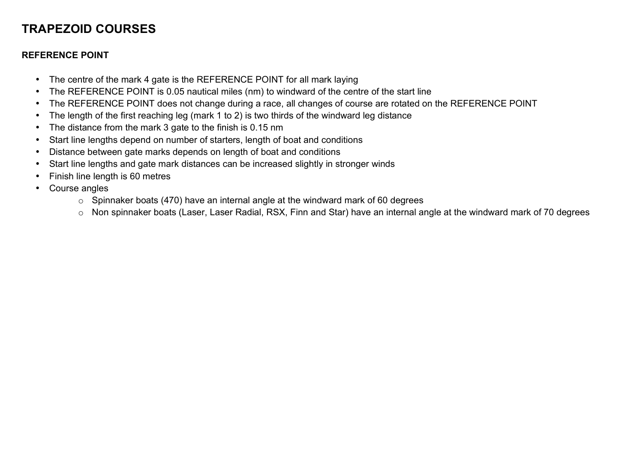## **TRAPEZOID COURSES**

## **REFERENCE POINT**

- The centre of the mark 4 gate is the REFERENCE POINT for all mark laying
- The REFERENCE POINT is 0.05 nautical miles (nm) to windward of the centre of the start line
- The REFERENCE POINT does not change during a race, all changes of course are rotated on the REFERENCE POINT
- The length of the first reaching leg (mark 1 to 2) is two thirds of the windward leg distance
- The distance from the mark 3 gate to the finish is 0.15 nm
- Start line lengths depend on number of starters, length of boat and conditions
- Distance between gate marks depends on length of boat and conditions
- Start line lengths and gate mark distances can be increased slightly in stronger winds
- Finish line length is 60 metres
- Course angles
	- $\circ$  Spinnaker boats (470) have an internal angle at the windward mark of 60 degrees
	- o Non spinnaker boats (Laser, Laser Radial, RSX, Finn and Star) have an internal angle at the windward mark of 70 degrees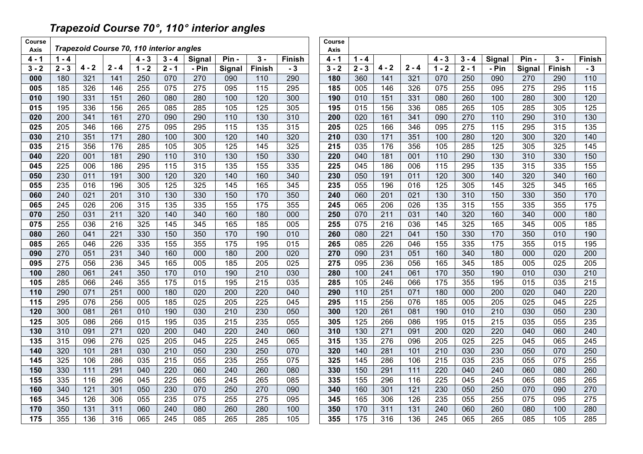## *Trapezoid Course 70*°*, 110*° *interior angles*

| Course<br>Axis | Trapezoid Course 70, 110 interior angles |                  |                  |                  |                   |                  |                  |                  | Course<br>Axis |                  |            |                         |                  |                  |            |                  |            |            |                  |
|----------------|------------------------------------------|------------------|------------------|------------------|-------------------|------------------|------------------|------------------|----------------|------------------|------------|-------------------------|------------------|------------------|------------|------------------|------------|------------|------------------|
| $4 - 1$        | $1 - 4$                                  |                  |                  | $4 - 3$          | $3 - 4$           | Signal           | Pin -            | $3 -$            | <b>Finish</b>  | $4 - 1$          | $1 - 4$    |                         |                  | $4 - 3$          | $3 - 4$    | Signal           | Pin-       | $3 -$      | <b>Finish</b>    |
| $3 - 2$        | $2 - 3$                                  | $4 - 2$          | $2 - 4$          | $1 - 2$          | $2 - 1$           | - Pin            | Signal           | <b>Finish</b>    | $-3$           | $3 - 2$          | $2 - 3$    | $4 - 2$                 | $2 - 4$          | $1 - 2$          | $2 - 1$    | - Pin            | Signal     | Finish     | $-3$             |
| 000            | 180                                      | 321              | 141              | 250              | 070               | 270              | 090              | 110              | 290            | 180              | 360        | 141                     | 321              | 070              | 250        | 090              | 270        | 290        | 110              |
| 005            | 185                                      | 326              | 146              | 255              | 075               | 275              | 095              | 115              | 295            | 185              | 005        | 146                     | 326              | 075              | 255        | 095              | 275        | 295        | 115              |
| 010            | 190                                      | 331              | 151              | 260              | 080               | 280              | 100              | 120              | 300            | 190              | 010        | 151                     | 331              | 080              | 260        | 100              | 280        | 300        | 120              |
| 015            | 195                                      | 336              | 156              | 265              | 085               | 285              | 105              | 125              | 305            | 195              | 015        | 156                     | 336              | 085              | 265        | 105              | 285        | 305        | $\frac{125}{2}$  |
| 020            | 200                                      | 341              | 161              | 270              | 090               | 290              | 110              | 130              | 310            | 200              | 020        | 161                     | 341              | 090              | 270        | $\overline{110}$ | 290        | 310        | 130              |
| 025            | $\overline{205}$                         | 346              | 166              | $\overline{275}$ | 095               | 295              | 115              | $\overline{135}$ | 315            | 205              | 025        | 166                     | 346              | 095              | 275        | 115              | 295        | 315        | 135              |
| 030            | 210                                      | 351              | 171              | 280              | 100               | 300              | 120              | 140              | 320            | 210              | 030        | $\frac{1}{171}$         | 351              | 100              | 280        | 120              | 300        | 320        | 140              |
| 035            | 215                                      | 356              | 176              | 285              | 105               | 305              | 125              | 145              | 325            | 215              | 035        | 176                     | 356              | 105              | 285        | 125              | 305        | 325        | 145              |
| 040            | 220                                      | 001              | 181              | 290              | $\frac{110}{110}$ | 310              | 130              | 150              | 330            | 220              | 040        | 181                     | 001              | 110              | 290        | 130              | 310        | 330        | 150              |
| 045            | 225                                      | 006              | 186              | 295              | 115               | 315              | 135              | 155              | 335            | 225              | 045        | 186                     | 006              | 115              | 295        | 135              | 315        | 335        | 155              |
| 050            | 230                                      | 011              | 191              | 300              | 120               | 320              | 140              | 160              | 340            | 230              | 050        | 191                     | 011              | 120              | 300        | 140              | 320        | 340        | 160              |
| 055            | 235                                      | 016              | 196              | 305              | 125               | 325              | 145              | 165              | 345            | 235              | 055        | 196                     | 016              | 125              | 305        | 145              | 325        | 345        | 165              |
| 060            | 240                                      | 021              | 201              | 310              | 130               | 330              | 150              | 170              | 350            | 240              | 060        | 201                     | 021              | 130              | 310        | 150              | 330        | 350        | 170              |
| 065            | 245                                      | $\overline{026}$ | 206              | 315              | 135               | 335              | 155              | 175              | 355            | $\overline{245}$ | 065        | 206                     | $\overline{026}$ | $\overline{135}$ | 315        | 155              | 335        | 355        | 175              |
| 070            | 250                                      | 031              | 211              | 320              | 140               | 340              | 160              | 180              | 000            | 250              | 070        | $\overline{211}$        | 031              | 140              | 320        | 160              | 340        | 000        | 180              |
| 075            | 255                                      | $\overline{036}$ | $\overline{216}$ | 325              | 145               | $\frac{1}{345}$  | 165              | 185              | 005            | 255              | 075        | $\overline{216}$        | 036              | 145              | 325        | 165              | 345        | 005        | 185              |
| 080            | 260                                      | 041              | 221              | 330              | 150               | 350              | 170              | 190              | 010            | 260              | 080        | 221                     | 041              | 150              | 330        | 170              | 350        | 010        | 190              |
| 085            | 265                                      | 046              | 226              | 335              | 155               | 355              | 175              | 195              | 015            | 265              | 085        | 226                     | 046              | 155              | 335        | 175              | 355        | 015        | 195              |
| 090            | 270                                      | 051              | 231              | 340              | 160               | 000              | 180              | 200              | 020            | 270              | 090        | 231                     | 051              | 160              | 340        | 180              | 000        | 020        | 200              |
| 095            | 275                                      | 056              | 236              | 345              | 165               | 005              | 185              | 205              | 025            | 275              | 095        | 236                     | 056              | 165              | 345        | 185              | 005        | 025        | 205              |
| 100            | 280                                      | 061              | 241              | 350              | 170               | 010              | 190              | 210              | 030            | 280              | 100        | 241                     | 061              | 170              | 350        | 190              | 010        | 030        | $\overline{210}$ |
| 105            | 285                                      | 066              | 246              | 355              | 175               | 015              | 195              | 215              | 035            | 285              | 105        | 246                     | 066              | 175              | 355        | 195              | 015        | 035        | 215              |
| 110            | 290                                      | 071              | 251              | 000              | 180               | 020              | 200              | 220              | 040            | 290              | 110        | 251                     | 071              | 180              | 000        | 200              | 020        | 040        | 220              |
| 115            | 295                                      | 076              | 256              | 005              | 185               | $\overline{025}$ | 205              | 225              | 045            | 295              | 115        | 256                     | 076              | 185              | 005        | 205              | 025        | 045        | $\overline{225}$ |
| 120            | 300                                      | 081              | 261              | 010              | 190               | 030              | 210              | 230              | 050            | 300              | 120        | 261                     | 081              | 190              | 010        | 210              | 030        | 050        | 230              |
| 125            | 305<br>310                               | 086              | 266<br>271       | 015              | 195<br>200        | 035<br>040       | $\overline{215}$ | $\overline{235}$ | 055<br>060     | 305              | 125<br>130 | 266<br>$\overline{271}$ | 086<br>091       | 195              | 015        | 215              | 035<br>040 | 055<br>060 | 235              |
| 130            | 315                                      | 091              | 276              | 020<br>025       |                   | 045              | 220<br>225       | 240<br>245       |                | 310              | 135        | 276                     |                  | 200              | 020<br>025 | 220<br>225       |            | 065        | 240<br>245       |
| 135<br>140     | 320                                      | 096<br>101       | 281              | 030              | 205               | 050              | 230              | 250              | 065<br>070     | 315<br>320       | 140        | 281                     | 096<br>101       | 205<br>210       | 030        | 230              | 045<br>050 | 070        | 250              |
| 145            | 325                                      | 106              | 286              | 035              | 210<br>215        | 055              | 235              | 255              | 075            | 325              | 145        | 286                     | 106              | 215              | 035        | 235              | 055        | 075        | 255              |
| 150            | 330                                      | 111              | 291              | 040              | 220               | 060              | 240              | 260              | 080            | 330              | 150        | 291                     | 111              | 220              | 040        | 240              | 060        | 080        | 260              |
| 155            | 335                                      | 116              | 296              | 045              | 225               | 065              | 245              | 265              | 085            | 335              | 155        | 296                     | 116              | 225              | 045        | 245              | 065        | 085        | 265              |
| 160            | 340                                      | 121              | 301              | 050              | 230               | 070              | 250              | 270              | 090            | 340              | 160        | 301                     | 121              | 230              | 050        | 250              | 070        | 090        | 270              |
| 165            | 345                                      | 126              | 306              | 055              | 235               | 075              | 255              | 275              | 095            | 345              | 165        | 306                     | 126              | 235              | 055        | 255              | 075        | 095        | 275              |
| 170            | 350                                      | 131              | 311              | 060              | 240               | 080              | 260              | 280              | 100            | 350              | 170        | 311                     | 131              | 240              | 060        | 260              | 080        | 100        | 280              |
| 175            | 355                                      | 136              | 316              | 065              | 245               | 085              | 265              | 285              | 105            | 355              | 175        | 316                     | 136              | 245              | 065        | 265              | 085        | 105        | 285              |
|                |                                          |                  |                  |                  |                   |                  |                  |                  |                |                  |            |                         |                  |                  |            |                  |            |            |                  |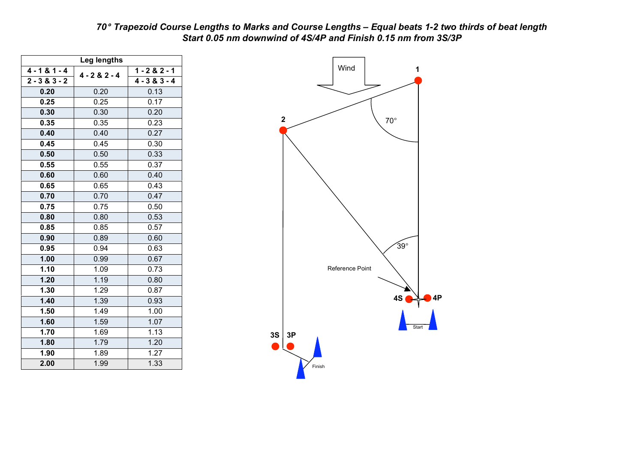| 70° Trapezoid Course Lengths to Marks and Course Lengths - Equal beats 1-2 two thirds of beat length |
|------------------------------------------------------------------------------------------------------|
| Start 0.05 nm downwind of 4S/4P and Finish 0.15 nm from 3S/3P                                        |

| Leg lengths     |                 |                 |  |  |  |  |  |  |  |  |
|-----------------|-----------------|-----------------|--|--|--|--|--|--|--|--|
| $4 - 181 - 4$   | $4 - 2 & 2 - 4$ | $1 - 282 - 1$   |  |  |  |  |  |  |  |  |
| $2 - 3 & 3 - 2$ |                 | $4 - 3 & 3 - 4$ |  |  |  |  |  |  |  |  |
| 0.20            | 0.20            | 0.13            |  |  |  |  |  |  |  |  |
| 0.25            | 0.25            | 0.17            |  |  |  |  |  |  |  |  |
| 0.30            | 0.30            | 0.20            |  |  |  |  |  |  |  |  |
| 0.35            | 0.35            | 0.23            |  |  |  |  |  |  |  |  |
| 0.40            | 0.40            | 0.27            |  |  |  |  |  |  |  |  |
| 0.45            | 0.45            | 0.30            |  |  |  |  |  |  |  |  |
| 0.50            | 0.50            | 0.33            |  |  |  |  |  |  |  |  |
| 0.55            | 0.55            | 0.37            |  |  |  |  |  |  |  |  |
| 0.60            | 0.60            | 0.40            |  |  |  |  |  |  |  |  |
| 0.65            | 0.65            | 0.43            |  |  |  |  |  |  |  |  |
| 0.70            | 0.70            | 0.47            |  |  |  |  |  |  |  |  |
| 0.75            | 0.75            | 0.50            |  |  |  |  |  |  |  |  |
| 0.80            | 0.80            | 0.53            |  |  |  |  |  |  |  |  |
| 0.85            | 0.85            | 0.57            |  |  |  |  |  |  |  |  |
| 0.90            | 0.89            | 0.60            |  |  |  |  |  |  |  |  |
| 0.95            | 0.94            | 0.63            |  |  |  |  |  |  |  |  |
| 1.00            | 0.99            | 0.67            |  |  |  |  |  |  |  |  |
| 1.10            | 1.09            | 0.73            |  |  |  |  |  |  |  |  |
| 1.20            | 1.19            | 0.80            |  |  |  |  |  |  |  |  |
| 1.30            | 1.29            | 0.87            |  |  |  |  |  |  |  |  |
| 1.40            | 1.39            | 0.93            |  |  |  |  |  |  |  |  |
| 1.50            | 1.49            | 1.00            |  |  |  |  |  |  |  |  |
| 1.60            | 1.59            | 1.07            |  |  |  |  |  |  |  |  |
| 1.70            | 1.69            | 1.13            |  |  |  |  |  |  |  |  |
| 1.80            | 1.79            | 1.20            |  |  |  |  |  |  |  |  |
| 1.90            | 1.89            | 1.27            |  |  |  |  |  |  |  |  |
| 2.00            | 1.99            | 1.33            |  |  |  |  |  |  |  |  |

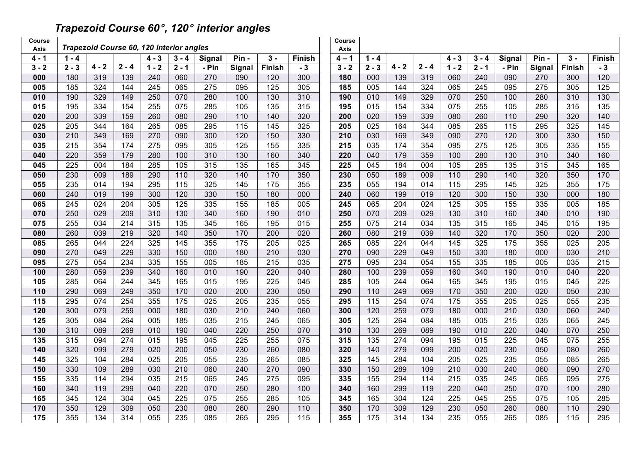## *Trapezoid Course 60*°*, 120*° *interior angles*

| Course  | Trapezoid Course 60, 120 interior angles<br><b>Axis</b> |                  |                  |                  |                  |                  |                   |                  |                  | Course<br>Axis   |                   |                  |                  |                  |                  |                   |                  |               |                  |
|---------|---------------------------------------------------------|------------------|------------------|------------------|------------------|------------------|-------------------|------------------|------------------|------------------|-------------------|------------------|------------------|------------------|------------------|-------------------|------------------|---------------|------------------|
| 4 - 1   | $1 - 4$                                                 |                  |                  | $4 - 3$          | $3 - 4$          | Signal           | Pin-              | $3 -$            | Finish           | $4 - 1$          | $1 - 4$           |                  |                  | $4 - 3$          | $3 - 4$          | Signal            | Pin-             | $3 -$         | Finish           |
| $3 - 2$ | $2 - 3$                                                 | $4 - 2$          | $2 - 4$          | $1 - 2$          | $2 - 1$          | - Pin            | <b>Signal</b>     | Finish           | $-3$             | $3 - 2$          | $2 - 3$           | $4 - 2$          | $2 - 4$          | $1 - 2$          | $2 - 1$          | - Pin             | Signal           | <b>Finish</b> | $-3$             |
| 000     | 180                                                     | 319              | 139              | 240              | 060              | 270              | 090               | 120              | 300              | 180              | 000               | 139              | 319              | 060              | 240              | 090               | 270              | 300           | 120              |
| 005     | 185                                                     | 324              | 144              | $\overline{245}$ | 065              | $\overline{275}$ | 095               | $\frac{1}{25}$   | 305              | 185              | 005               | 144              | 324              | 065              | $\overline{245}$ | 095               | $\overline{275}$ | 305           | $\frac{1}{25}$   |
| 010     | 190                                                     | 329              | 149              | 250              | 070              | 280              | 100               | 130              | 310              | 190              | 010               | 149              | 329              | 070              | 250              | 100               | 280              | 310           | 130              |
| 015     | 195                                                     | 334              | 154              | 255              | 075              | 285              | 105               | $\overline{135}$ | 315              | 195              | $\overline{015}$  | 154              | 334              | 075              | 255              | 105               | 285              | 315           | $\overline{135}$ |
| 020     | 200                                                     | 339              | 159              | 260              | 080              | 290              | $\frac{110}{110}$ | 140              | 320              | 200              | 020               | 159              | 339              | 080              | 260              | $\frac{110}{110}$ | 290              | 320           | 140              |
| 025     | 205                                                     | 344              | 164              | 265              | 085              | 295              | 115               | 145              | 325              | 205              | 025               | 164              | 344              | 085              | 265              | 115               | 295              | 325           | 145              |
| 030     | 210                                                     | 349              | 169              | 270              | 090              | 300              | 120               | 150              | 330              | 210              | 030               | 169              | 349              | 090              | 270              | 120               | 300              | 330           | 150              |
| 035     | $\overline{215}$                                        | 354              | 174              | 275              | 095              | 305              | 125               | 155              | 335              | 215              | 035               | 174              | 354              | 095              | 275              | 125               | 305              | 335           | 155              |
| 040     | 220                                                     | 359              | 179              | 280              | 100              | 310              | 130               | 160              | 340              | 220              | 040               | 179              | 359              | 100              | 280              | 130               | 310              | 340           | 160              |
| 045     | 225                                                     | 004              | 184              | 285              | 105              | 315              | $\overline{135}$  | 165              | 345              | $\overline{225}$ | $\overline{045}$  | 184              | 004              | 105              | 285              | 135               | 315              | 345           | 165              |
| 050     | 230                                                     | 009              | 189              | 290              | 110              | 320              | 140               | 170              | 350              | 230              | 050               | 189              | 009              | 110              | 290              | 140               | 320              | 350           | 170              |
| 055     | 235                                                     | 014              | 194              | 295              | 115              | 325              | 145               | 175              | 355              | 235              | 055               | 194              | 014              | 115              | 295              | $\frac{145}{145}$ | 325              | 355           | $\frac{175}{2}$  |
| 060     | 240                                                     | 019              | 199              | 300              | 120              | 330              | 150               | 180              | 000              | 240              | 060               | 199              | 019              | 120              | 300              | 150               | 330              | 000           | 180              |
| 065     | 245                                                     | 024              | 204              | 305              | 125              | 335              | 155               | 185              | 005              | 245              | 065               | 204              | 024              | 125              | 305              | 155               | 335              | 005           | 185              |
| 070     | 250                                                     | 029              | 209              | 310              | 130              | 340              | 160               | 190              | 010              | 250              | 070               | 209              | 029              | 130              | 310              | 160               | 340              | 010           | 190              |
| 075     | 255                                                     | $\overline{034}$ | $\overline{214}$ | 315              | 135              | 345              | 165               | 195              | 015              | 255              | $\overline{075}$  | $\overline{214}$ | $\overline{034}$ | $\overline{135}$ | 315              | 165               | 345              | 015           | 195              |
| 080     | 260                                                     | 039              | 219              | 320              | 140              | 350              | 170               | 200              | 020              | 260              | 080               | 219              | 039              | 140              | 320              | 170               | 350              | 020           | 200              |
| 085     | 265                                                     | 044              | 224              | 325              | 145              | 355              | 175               | 205              | 025              | 265              | 085               | 224              | 044              | 145              | 325              | 175               | 355              | 025           | 205              |
| 090     | 270                                                     | 049              | 229              | 330              | 150              | 000              | 180               | 210              | 030              | 270              | 090               | 229              | 049              | 150              | 330              | 180               | 000              | 030           | 210              |
| 095     | 275                                                     | 054              | 234              | 335              | 155              | 005              | 185               | 215              | 035              | 275              | 095               | 234              | 054              | 155              | 335              | 185               | 005              | 035           | 215              |
| 100     | 280                                                     | 059              | 239              | 340              | 160              | 010              | 190               | 220              | 040              | 280              | 100               | 239              | $\overline{059}$ | 160              | 340              | 190               | 010              | 040           | 220              |
| 105     | 285                                                     | 064              | 244              | 345              | 165              | 015              | 195               | 225              | 045              | 285              | 105               | 244              | 064              | 165              | 345              | 195               | 015              | 045           | $\overline{225}$ |
| 110     | 290                                                     | 069              | 249              | 350              | 170              | 020              | 200               | 230              | 050              | 290              | 110               | 249              | 069              | 170              | 350              | 200               | 020              | 050           | 230              |
| 115     | 295                                                     | 074              | 254              | 355              | $\frac{175}{2}$  | $\overline{025}$ | $\overline{205}$  | $\overline{235}$ | $\overline{055}$ | 295              | $\frac{115}{115}$ | 254              | 074              | 175              | 355              | $\overline{205}$  | 025              | 055           | 235              |
| 120     | 300                                                     | 079              | 259              | 000              | 180              | 030              | 210               | 240              | 060              | 300              | 120               | 259              | 079              | 180              | 000              | 210               | 030              | 060           | 240              |
| 125     | 305                                                     | 084              | 264              | 005              | 185              | $\overline{035}$ | $\overline{215}$  | $\overline{245}$ | 065              | 305              | $\frac{1}{25}$    | 264              | 084              | 185              | 005              | $\overline{215}$  | $\overline{035}$ | 065           | $\overline{245}$ |
| 130     | 310                                                     | 089              | 269              | 010              | 190              | 040              | 220               | 250              | 070              | 310              | 130               | 269              | 089              | 190              | 010              | 220               | 040              | 070           | 250              |
| 135     | 315                                                     | 094              | 274              | 015              | 195              | 045              | 225               | 255              | 075              | 315              | 135               | 274              | 094              | 195              | 015              | $\overline{225}$  | 045              | 075           | 255              |
| 140     | 320                                                     | 099              | 279              | 020              | 200              | 050              | 230               | 260              | 080              | 320              | 140               | 279              | 099              | 200              | 020              | 230               | 050              | 080           | 260              |
| 145     | 325                                                     | 104              | 284              | 025              | 205              | 055              | 235               | 265              | 085              | 325              | 145               | 284              | 104              | 205              | 025              | 235               | 055              | 085           | 265              |
| 150     | 330                                                     | 109              | 289              | 030              | 210              | 060              | 240               | 270              | 090              | 330              | 150               | 289              | 109              | 210              | 030              | 240               | 060              | 090           | 270              |
| 155     | 335                                                     | 114              | 294              | 035              | $\overline{215}$ | 065              | $\overline{245}$  | $\overline{275}$ | 095              | 335              | 155               | 294              | 114              | $\overline{215}$ | 035              | $\overline{245}$  | 065              | 095           | 275              |
| 160     | 340                                                     | 119              | 299              | 040              | 220              | 070              | 250               | 280              | 100              | 340              | 160               | 299              | 119              | 220              | 040              | 250               | 070              | 100           | 280              |
| 165     | 345                                                     | 124              | 304              | 045              | 225              | 075              | 255               | 285              | 105              | 345              | 165               | 304              | 124              | 225              | 045              | 255               | 075              | 105           | 285              |
| 170     | 350                                                     | 129              | 309              | 050              | 230              | 080              | 260               | 290              | 110              | 350              | 170               | 309              | 129              | 230              | 050              | 260               | 080              | 110           | 290              |
| 175     | 355                                                     | 134              | 314              | 055              | 235              | 085              | 265               | 295              | 115              | 355              | 175               | 314              | 134              | 235              | 055              | 265               | 085              | 115           | 295              |